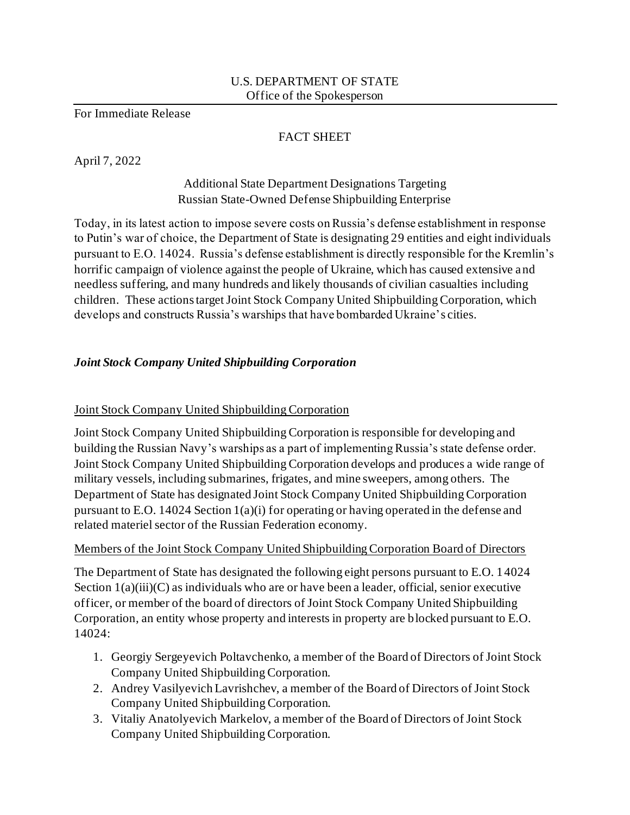#### U.S. DEPARTMENT OF STATE Office of the Spokesperson

For Immediate Release

#### FACT SHEET

April 7, 2022

# Additional State Department Designations Targeting Russian State-Owned Defense Shipbuilding Enterprise

Today, in its latest action to impose severe costs on Russia's defense establishment in response to Putin's war of choice, the Department of State is designating 29 entities and eight individuals pursuant to E.O. 14024. Russia's defense establishment is directly responsible for the Kremlin's horrific campaign of violence against the people of Ukraine, which has caused extensive and needless suffering, and many hundreds and likely thousands of civilian casualties including children. These actions target Joint Stock Company United Shipbuilding Corporation, which develops and constructs Russia's warships that have bombarded Ukraine's cities.

# *Joint Stock Company United Shipbuilding Corporation*

## Joint Stock Company United Shipbuilding Corporation

Joint Stock Company United Shipbuilding Corporation is responsible for developing and building the Russian Navy's warships as a part of implementing Russia's state defense order. Joint Stock Company United Shipbuilding Corporation develops and produces a wide range of military vessels, including submarines, frigates, and mine sweepers, among others. The Department of State has designated Joint Stock Company United Shipbuilding Corporation pursuant to E.O. 14024 Section  $1(a)(i)$  for operating or having operated in the defense and related materiel sector of the Russian Federation economy.

#### Members of the Joint Stock Company United Shipbuilding Corporation Board of Directors

The Department of State has designated the following eight persons pursuant to E.O. 14024 Section  $1(a)(iii)(C)$  as individuals who are or have been a leader, official, senior executive officer, or member of the board of directors of Joint Stock Company United Shipbuilding Corporation, an entity whose property and interests in property are blocked pursuant to E.O. 14024:

- 1. Georgiy Sergeyevich Poltavchenko, a member of the Board of Directors of Joint Stock Company United Shipbuilding Corporation.
- 2. Andrey Vasilyevich Lavrishchev, a member of the Board of Directors of Joint Stock Company United Shipbuilding Corporation.
- 3. Vitaliy Anatolyevich Markelov, a member of the Board of Directors of Joint Stock Company United Shipbuilding Corporation.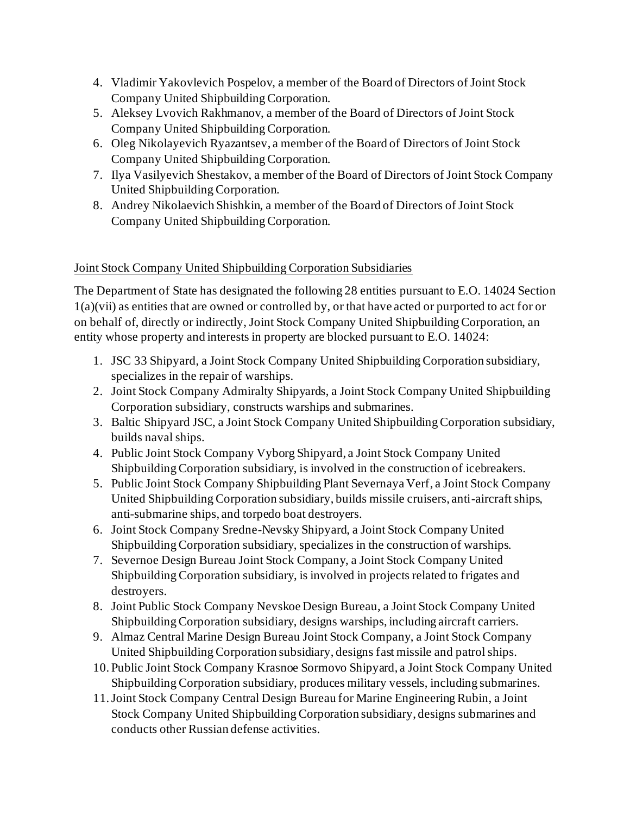- 4. Vladimir Yakovlevich Pospelov, a member of the Board of Directors of Joint Stock Company United Shipbuilding Corporation.
- 5. Aleksey Lvovich Rakhmanov, a member of the Board of Directors of Joint Stock Company United Shipbuilding Corporation.
- 6. Oleg Nikolayevich Ryazantsev, a member of the Board of Directors of Joint Stock Company United Shipbuilding Corporation.
- 7. Ilya Vasilyevich Shestakov, a member of the Board of Directors of Joint Stock Company United Shipbuilding Corporation.
- 8. Andrey Nikolaevich Shishkin, a member of the Board of Directors of Joint Stock Company United Shipbuilding Corporation.

## Joint Stock Company United Shipbuilding Corporation Subsidiaries

The Department of State has designated the following 28 entities pursuant to E.O. 14024 Section 1(a)(vii) as entities that are owned or controlled by, or that have acted or purported to act for or on behalf of, directly or indirectly, Joint Stock Company United Shipbuilding Corporation, an entity whose property and interests in property are blocked pursuant to E.O. 14024:

- 1. JSC 33 Shipyard, a Joint Stock Company United Shipbuilding Corporation subsidiary, specializes in the repair of warships.
- 2. Joint Stock Company Admiralty Shipyards, a Joint Stock Company United Shipbuilding Corporation subsidiary, constructs warships and submarines.
- 3. Baltic Shipyard JSC, a Joint Stock Company United Shipbuilding Corporation subsidiary, builds naval ships.
- 4. Public Joint Stock Company Vyborg Shipyard, a Joint Stock Company United Shipbuilding Corporation subsidiary, is involved in the construction of icebreakers.
- 5. Public Joint Stock Company Shipbuilding Plant Severnaya Verf, a Joint Stock Company United Shipbuilding Corporation subsidiary, builds missile cruisers, anti-aircraft ships, anti-submarine ships, and torpedo boat destroyers.
- 6. Joint Stock Company Sredne-Nevsky Shipyard, a Joint Stock Company United Shipbuilding Corporation subsidiary, specializes in the construction of warships.
- 7. Severnoe Design Bureau Joint Stock Company, a Joint Stock Company United Shipbuilding Corporation subsidiary, is involved in projects related to frigates and destroyers.
- 8. Joint Public Stock Company Nevskoe Design Bureau, a Joint Stock Company United Shipbuilding Corporation subsidiary, designs warships, including aircraft carriers.
- 9. Almaz Central Marine Design Bureau Joint Stock Company, a Joint Stock Company United Shipbuilding Corporation subsidiary, designs fast missile and patrol ships.
- 10. Public Joint Stock Company Krasnoe Sormovo Shipyard, a Joint Stock Company United Shipbuilding Corporation subsidiary, produces military vessels, including submarines.
- 11.Joint Stock Company Central Design Bureau for Marine Engineering Rubin, a Joint Stock Company United Shipbuilding Corporation subsidiary, designs submarines and conducts other Russian defense activities.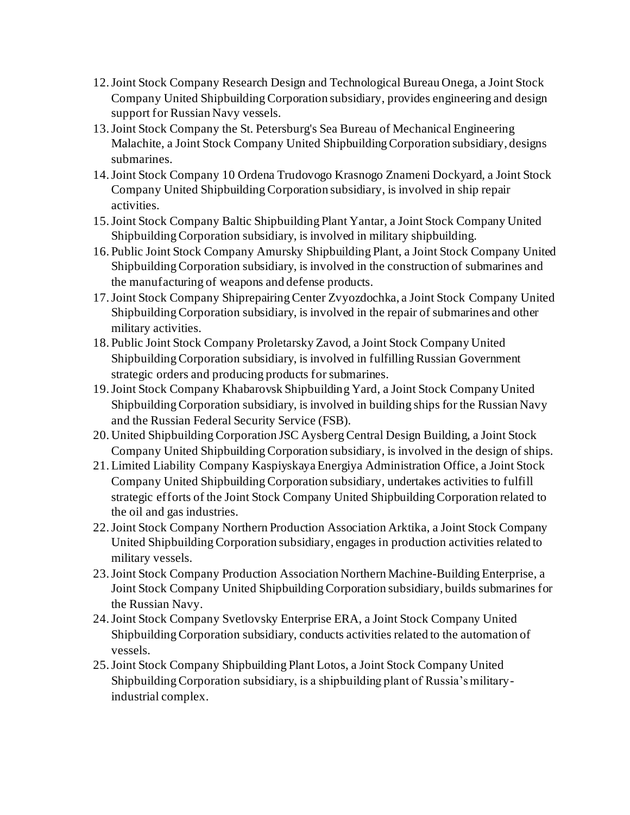- 12.Joint Stock Company Research Design and Technological Bureau Onega, a Joint Stock Company United Shipbuilding Corporation subsidiary, provides engineering and design support for Russian Navy vessels.
- 13.Joint Stock Company the St. Petersburg's Sea Bureau of Mechanical Engineering Malachite, a Joint Stock Company United Shipbuilding Corporation subsidiary, designs submarines.
- 14.Joint Stock Company 10 Ordena Trudovogo Krasnogo Znameni Dockyard, a Joint Stock Company United Shipbuilding Corporation subsidiary, is involved in ship repair activities.
- 15.Joint Stock Company Baltic Shipbuilding Plant Yantar, a Joint Stock Company United Shipbuilding Corporation subsidiary, is involved in military shipbuilding.
- 16. Public Joint Stock Company Amursky Shipbuilding Plant, a Joint Stock Company United Shipbuilding Corporation subsidiary, is involved in the construction of submarines and the manufacturing of weapons and defense products.
- 17.Joint Stock Company Shiprepairing Center Zvyozdochka, a Joint Stock Company United Shipbuilding Corporation subsidiary, is involved in the repair of submarines and other military activities.
- 18. Public Joint Stock Company Proletarsky Zavod, a Joint Stock Company United Shipbuilding Corporation subsidiary, is involved in fulfilling Russian Government strategic orders and producing products for submarines.
- 19.Joint Stock Company Khabarovsk Shipbuilding Yard, a Joint Stock Company United Shipbuilding Corporation subsidiary, is involved in building ships for the Russian Navy and the Russian Federal Security Service (FSB).
- 20. United Shipbuilding Corporation JSC Aysberg Central Design Building, a Joint Stock Company United Shipbuilding Corporation subsidiary, is involved in the design of ships.
- 21.Limited Liability Company Kaspiyskaya Energiya Administration Office, a Joint Stock Company United Shipbuilding Corporation subsidiary, undertakes activities to fulfill strategic efforts of the Joint Stock Company United Shipbuilding Corporation related to the oil and gas industries.
- 22.Joint Stock Company Northern Production Association Arktika, a Joint Stock Company United Shipbuilding Corporation subsidiary, engages in production activities related to military vessels.
- 23.Joint Stock Company Production Association Northern Machine-Building Enterprise, a Joint Stock Company United Shipbuilding Corporation subsidiary, builds submarines for the Russian Navy.
- 24.Joint Stock Company Svetlovsky Enterprise ERA, a Joint Stock Company United Shipbuilding Corporation subsidiary, conducts activities related to the automation of vessels.
- 25.Joint Stock Company Shipbuilding Plant Lotos, a Joint Stock Company United Shipbuilding Corporation subsidiary, is a shipbuilding plant of Russia's militaryindustrial complex.